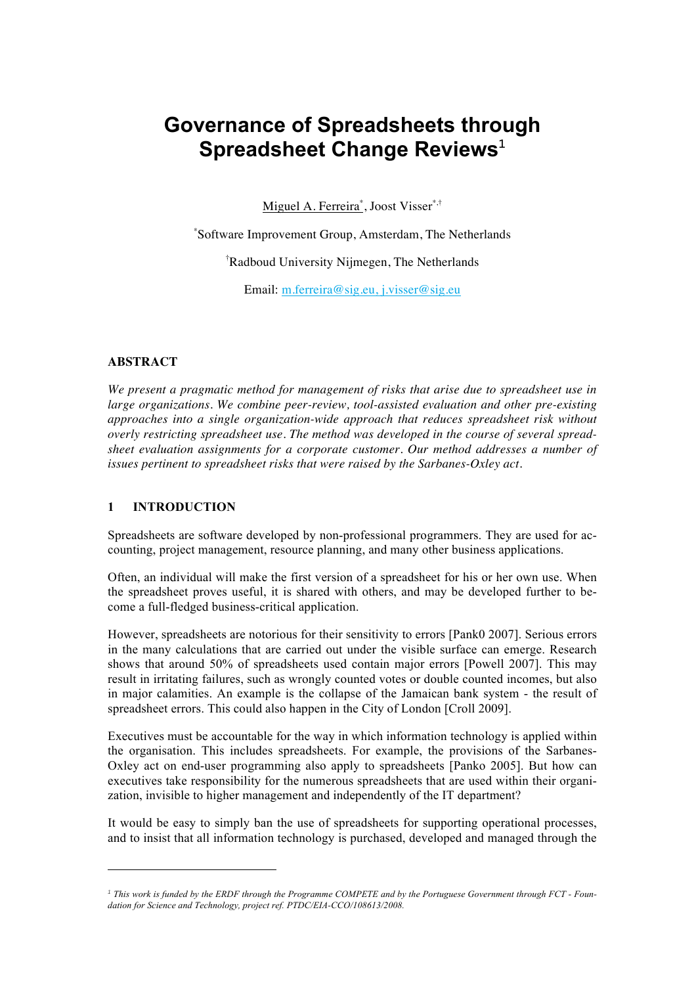# **Governance of Spreadsheets through Spreadsheet Change Reviews**<sup>1</sup>

Miguel A. Ferreira<sup>\*</sup>, Joost Visser<sup>\*,†</sup>

\* Software Improvement Group, Amsterdam, The Netherlands

† Radboud University Nijmegen, The Netherlands

Email: m.ferreira@sig.eu, j.visser@sig.eu

## **ABSTRACT**

*We present a pragmatic method for management of risks that arise due to spreadsheet use in large organizations. We combine peer-review, tool-assisted evaluation and other pre-existing approaches into a single organization-wide approach that reduces spreadsheet risk without overly restricting spreadsheet use. The method was developed in the course of several spreadsheet evaluation assignments for a corporate customer. Our method addresses a number of issues pertinent to spreadsheet risks that were raised by the Sarbanes-Oxley act.*

## **1 INTRODUCTION**

Spreadsheets are software developed by non-professional programmers. They are used for accounting, project management, resource planning, and many other business applications.

Often, an individual will make the first version of a spreadsheet for his or her own use. When the spreadsheet proves useful, it is shared with others, and may be developed further to become a full-fledged business-critical application.

However, spreadsheets are notorious for their sensitivity to errors [Pank0 2007]. Serious errors in the many calculations that are carried out under the visible surface can emerge. Research shows that around 50% of spreadsheets used contain major errors [Powell 2007]. This may result in irritating failures, such as wrongly counted votes or double counted incomes, but also in major calamities. An example is the collapse of the Jamaican bank system - the result of spreadsheet errors. This could also happen in the City of London [Croll 2009].

Executives must be accountable for the way in which information technology is applied within the organisation. This includes spreadsheets. For example, the provisions of the Sarbanes-Oxley act on end-user programming also apply to spreadsheets [Panko 2005]. But how can executives take responsibility for the numerous spreadsheets that are used within their organization, invisible to higher management and independently of the IT department?

It would be easy to simply ban the use of spreadsheets for supporting operational processes, and to insist that all information technology is purchased, developed and managed through the

*<sup>1</sup> This work is funded by the ERDF through the Programme COMPETE and by the Portuguese Government through FCT - Foundation for Science and Technology, project ref. PTDC/EIA-CCO/108613/2008.*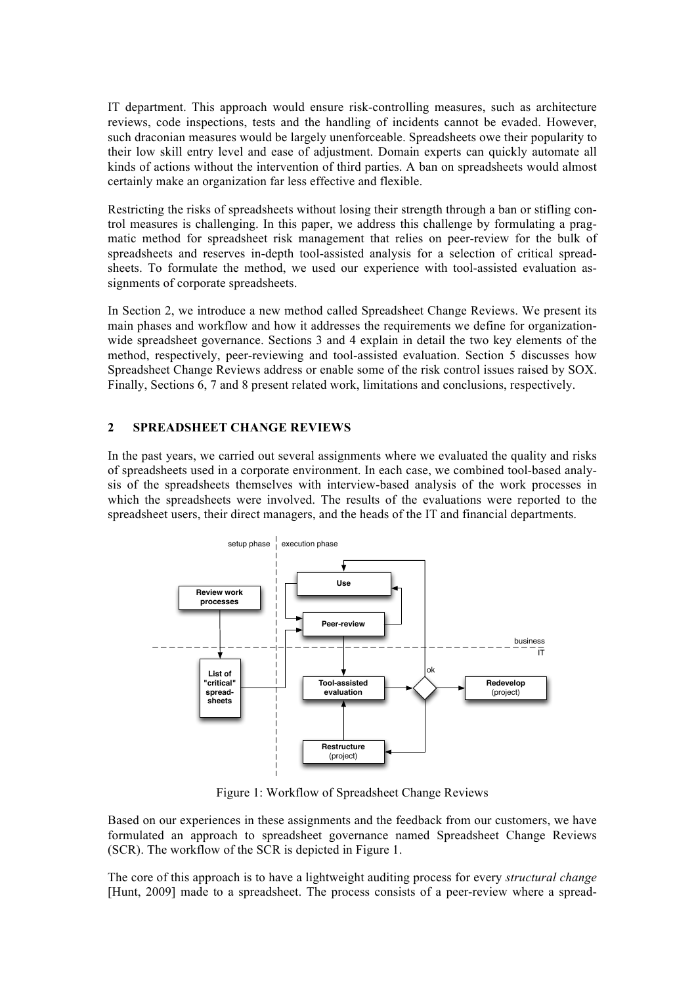IT department. This approach would ensure risk-controlling measures, such as architecture reviews, code inspections, tests and the handling of incidents cannot be evaded. However, such draconian measures would be largely unenforceable. Spreadsheets owe their popularity to their low skill entry level and ease of adjustment. Domain experts can quickly automate all kinds of actions without the intervention of third parties. A ban on spreadsheets would almost certainly make an organization far less effective and flexible.

Restricting the risks of spreadsheets without losing their strength through a ban or stifling control measures is challenging. In this paper, we address this challenge by formulating a pragmatic method for spreadsheet risk management that relies on peer-review for the bulk of spreadsheets and reserves in-depth tool-assisted analysis for a selection of critical spreadsheets. To formulate the method, we used our experience with tool-assisted evaluation assignments of corporate spreadsheets.

In Section 2, we introduce a new method called Spreadsheet Change Reviews. We present its main phases and workflow and how it addresses the requirements we define for organizationwide spreadsheet governance. Sections 3 and 4 explain in detail the two key elements of the method, respectively, peer-reviewing and tool-assisted evaluation. Section 5 discusses how Spreadsheet Change Reviews address or enable some of the risk control issues raised by SOX. Finally, Sections 6, 7 and 8 present related work, limitations and conclusions, respectively.

## **2 SPREADSHEET CHANGE REVIEWS**

In the past years, we carried out several assignments where we evaluated the quality and risks of spreadsheets used in a corporate environment. In each case, we combined tool-based analysis of the spreadsheets themselves with interview-based analysis of the work processes in which the spreadsheets were involved. The results of the evaluations were reported to the spreadsheet users, their direct managers, and the heads of the IT and financial departments.



Figure 1: Workflow of Spreadsheet Change Reviews

Based on our experiences in these assignments and the feedback from our customers, we have formulated an approach to spreadsheet governance named Spreadsheet Change Reviews (SCR). The workflow of the SCR is depicted in Figure 1.

The core of this approach is to have a lightweight auditing process for every *structural change* [Hunt, 2009] made to a spreadsheet. The process consists of a peer-review where a spread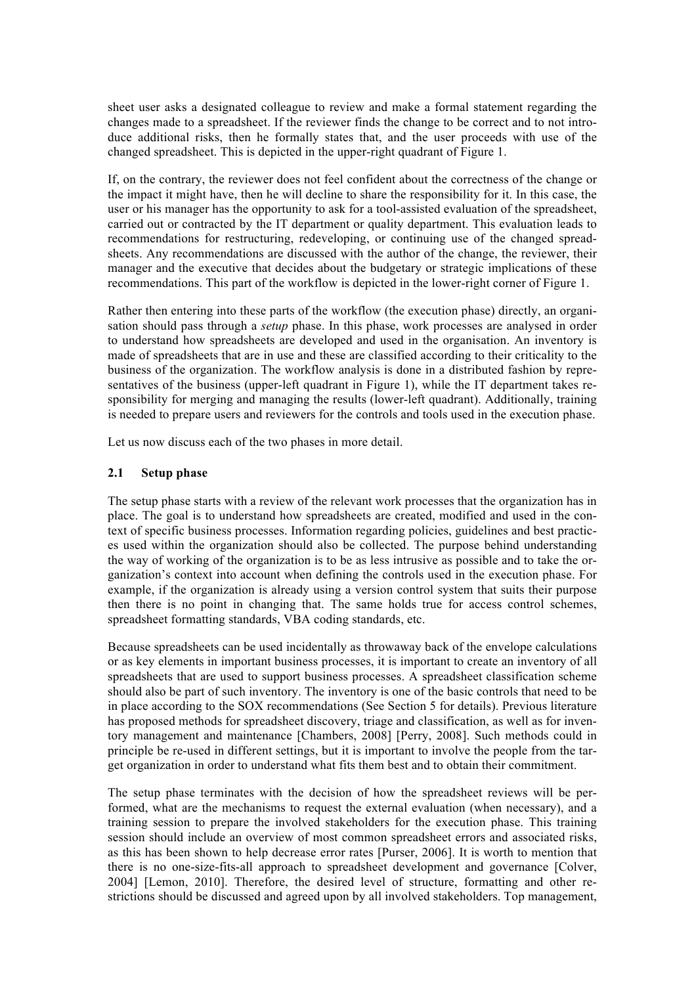sheet user asks a designated colleague to review and make a formal statement regarding the changes made to a spreadsheet. If the reviewer finds the change to be correct and to not introduce additional risks, then he formally states that, and the user proceeds with use of the changed spreadsheet. This is depicted in the upper-right quadrant of Figure 1.

If, on the contrary, the reviewer does not feel confident about the correctness of the change or the impact it might have, then he will decline to share the responsibility for it. In this case, the user or his manager has the opportunity to ask for a tool-assisted evaluation of the spreadsheet, carried out or contracted by the IT department or quality department. This evaluation leads to recommendations for restructuring, redeveloping, or continuing use of the changed spreadsheets. Any recommendations are discussed with the author of the change, the reviewer, their manager and the executive that decides about the budgetary or strategic implications of these recommendations. This part of the workflow is depicted in the lower-right corner of Figure 1.

Rather then entering into these parts of the workflow (the execution phase) directly, an organisation should pass through a *setup* phase. In this phase, work processes are analysed in order to understand how spreadsheets are developed and used in the organisation. An inventory is made of spreadsheets that are in use and these are classified according to their criticality to the business of the organization. The workflow analysis is done in a distributed fashion by representatives of the business (upper-left quadrant in Figure 1), while the IT department takes responsibility for merging and managing the results (lower-left quadrant). Additionally, training is needed to prepare users and reviewers for the controls and tools used in the execution phase.

Let us now discuss each of the two phases in more detail.

#### **2.1 Setup phase**

The setup phase starts with a review of the relevant work processes that the organization has in place. The goal is to understand how spreadsheets are created, modified and used in the context of specific business processes. Information regarding policies, guidelines and best practices used within the organization should also be collected. The purpose behind understanding the way of working of the organization is to be as less intrusive as possible and to take the organization's context into account when defining the controls used in the execution phase. For example, if the organization is already using a version control system that suits their purpose then there is no point in changing that. The same holds true for access control schemes, spreadsheet formatting standards, VBA coding standards, etc.

Because spreadsheets can be used incidentally as throwaway back of the envelope calculations or as key elements in important business processes, it is important to create an inventory of all spreadsheets that are used to support business processes. A spreadsheet classification scheme should also be part of such inventory. The inventory is one of the basic controls that need to be in place according to the SOX recommendations (See Section 5 for details). Previous literature has proposed methods for spreadsheet discovery, triage and classification, as well as for inventory management and maintenance [Chambers, 2008] [Perry, 2008]. Such methods could in principle be re-used in different settings, but it is important to involve the people from the target organization in order to understand what fits them best and to obtain their commitment.

The setup phase terminates with the decision of how the spreadsheet reviews will be performed, what are the mechanisms to request the external evaluation (when necessary), and a training session to prepare the involved stakeholders for the execution phase. This training session should include an overview of most common spreadsheet errors and associated risks, as this has been shown to help decrease error rates [Purser, 2006]. It is worth to mention that there is no one-size-fits-all approach to spreadsheet development and governance [Colver, 2004] [Lemon, 2010]. Therefore, the desired level of structure, formatting and other restrictions should be discussed and agreed upon by all involved stakeholders. Top management,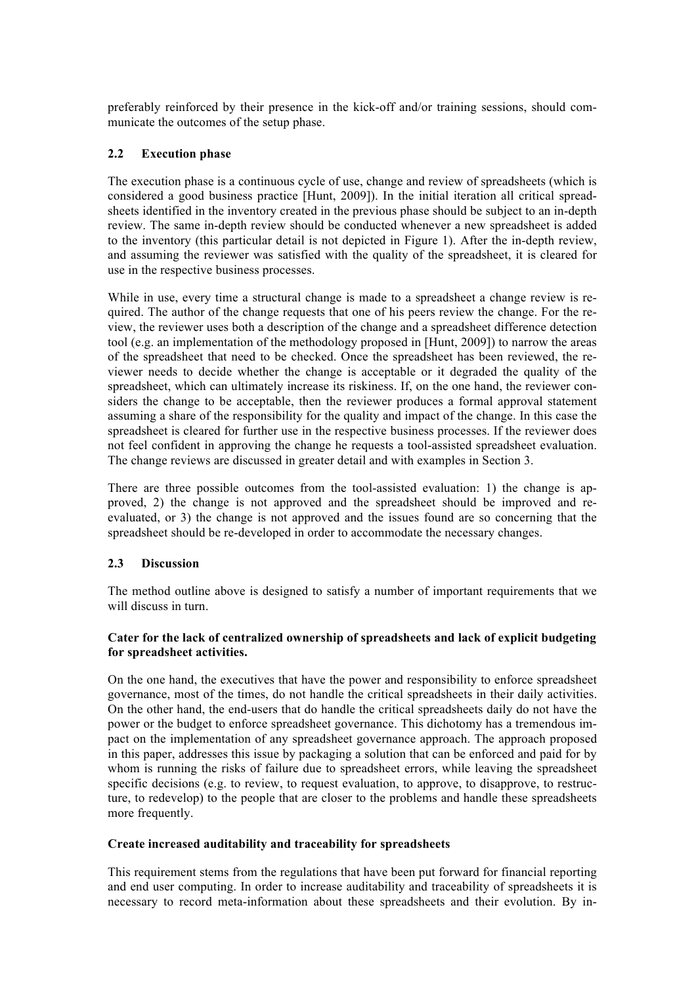preferably reinforced by their presence in the kick-off and/or training sessions, should communicate the outcomes of the setup phase.

## **2.2 Execution phase**

The execution phase is a continuous cycle of use, change and review of spreadsheets (which is considered a good business practice [Hunt, 2009]). In the initial iteration all critical spreadsheets identified in the inventory created in the previous phase should be subject to an in-depth review. The same in-depth review should be conducted whenever a new spreadsheet is added to the inventory (this particular detail is not depicted in Figure 1). After the in-depth review, and assuming the reviewer was satisfied with the quality of the spreadsheet, it is cleared for use in the respective business processes.

While in use, every time a structural change is made to a spreadsheet a change review is required. The author of the change requests that one of his peers review the change. For the review, the reviewer uses both a description of the change and a spreadsheet difference detection tool (e.g. an implementation of the methodology proposed in [Hunt, 2009]) to narrow the areas of the spreadsheet that need to be checked. Once the spreadsheet has been reviewed, the reviewer needs to decide whether the change is acceptable or it degraded the quality of the spreadsheet, which can ultimately increase its riskiness. If, on the one hand, the reviewer considers the change to be acceptable, then the reviewer produces a formal approval statement assuming a share of the responsibility for the quality and impact of the change. In this case the spreadsheet is cleared for further use in the respective business processes. If the reviewer does not feel confident in approving the change he requests a tool-assisted spreadsheet evaluation. The change reviews are discussed in greater detail and with examples in Section 3.

There are three possible outcomes from the tool-assisted evaluation: 1) the change is approved, 2) the change is not approved and the spreadsheet should be improved and reevaluated, or 3) the change is not approved and the issues found are so concerning that the spreadsheet should be re-developed in order to accommodate the necessary changes.

#### **2.3 Discussion**

The method outline above is designed to satisfy a number of important requirements that we will discuss in turn.

#### **Cater for the lack of centralized ownership of spreadsheets and lack of explicit budgeting for spreadsheet activities.**

On the one hand, the executives that have the power and responsibility to enforce spreadsheet governance, most of the times, do not handle the critical spreadsheets in their daily activities. On the other hand, the end-users that do handle the critical spreadsheets daily do not have the power or the budget to enforce spreadsheet governance. This dichotomy has a tremendous impact on the implementation of any spreadsheet governance approach. The approach proposed in this paper, addresses this issue by packaging a solution that can be enforced and paid for by whom is running the risks of failure due to spreadsheet errors, while leaving the spreadsheet specific decisions (e.g. to review, to request evaluation, to approve, to disapprove, to restructure, to redevelop) to the people that are closer to the problems and handle these spreadsheets more frequently.

#### **Create increased auditability and traceability for spreadsheets**

This requirement stems from the regulations that have been put forward for financial reporting and end user computing. In order to increase auditability and traceability of spreadsheets it is necessary to record meta-information about these spreadsheets and their evolution. By in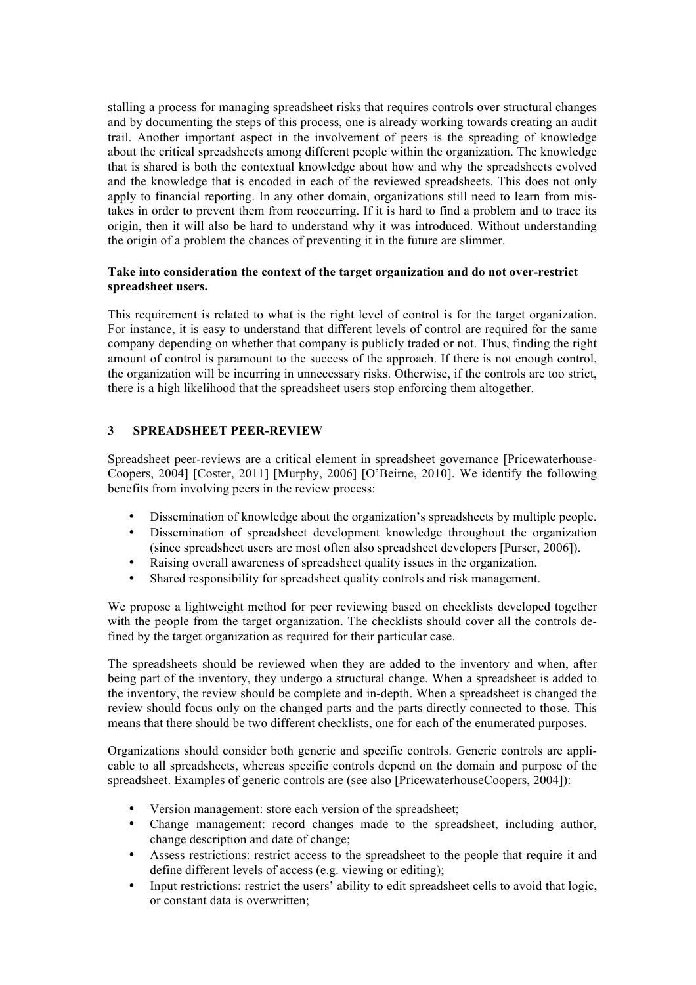stalling a process for managing spreadsheet risks that requires controls over structural changes and by documenting the steps of this process, one is already working towards creating an audit trail. Another important aspect in the involvement of peers is the spreading of knowledge about the critical spreadsheets among different people within the organization. The knowledge that is shared is both the contextual knowledge about how and why the spreadsheets evolved and the knowledge that is encoded in each of the reviewed spreadsheets. This does not only apply to financial reporting. In any other domain, organizations still need to learn from mistakes in order to prevent them from reoccurring. If it is hard to find a problem and to trace its origin, then it will also be hard to understand why it was introduced. Without understanding the origin of a problem the chances of preventing it in the future are slimmer.

#### **Take into consideration the context of the target organization and do not over-restrict spreadsheet users.**

This requirement is related to what is the right level of control is for the target organization. For instance, it is easy to understand that different levels of control are required for the same company depending on whether that company is publicly traded or not. Thus, finding the right amount of control is paramount to the success of the approach. If there is not enough control, the organization will be incurring in unnecessary risks. Otherwise, if the controls are too strict, there is a high likelihood that the spreadsheet users stop enforcing them altogether.

## **3 SPREADSHEET PEER-REVIEW**

Spreadsheet peer-reviews are a critical element in spreadsheet governance [Pricewaterhouse-Coopers, 2004] [Coster, 2011] [Murphy, 2006] [O'Beirne, 2010]. We identify the following benefits from involving peers in the review process:

- Dissemination of knowledge about the organization's spreadsheets by multiple people.
- Dissemination of spreadsheet development knowledge throughout the organization (since spreadsheet users are most often also spreadsheet developers [Purser, 2006]).
- Raising overall awareness of spreadsheet quality issues in the organization.
- Shared responsibility for spreadsheet quality controls and risk management.

We propose a lightweight method for peer reviewing based on checklists developed together with the people from the target organization. The checklists should cover all the controls defined by the target organization as required for their particular case.

The spreadsheets should be reviewed when they are added to the inventory and when, after being part of the inventory, they undergo a structural change. When a spreadsheet is added to the inventory, the review should be complete and in-depth. When a spreadsheet is changed the review should focus only on the changed parts and the parts directly connected to those. This means that there should be two different checklists, one for each of the enumerated purposes.

Organizations should consider both generic and specific controls. Generic controls are applicable to all spreadsheets, whereas specific controls depend on the domain and purpose of the spreadsheet. Examples of generic controls are (see also [PricewaterhouseCoopers, 2004]):

- Version management: store each version of the spreadsheet;
- Change management: record changes made to the spreadsheet, including author, change description and date of change;
- Assess restrictions: restrict access to the spreadsheet to the people that require it and define different levels of access (e.g. viewing or editing);
- Input restrictions: restrict the users' ability to edit spreadsheet cells to avoid that logic, or constant data is overwritten;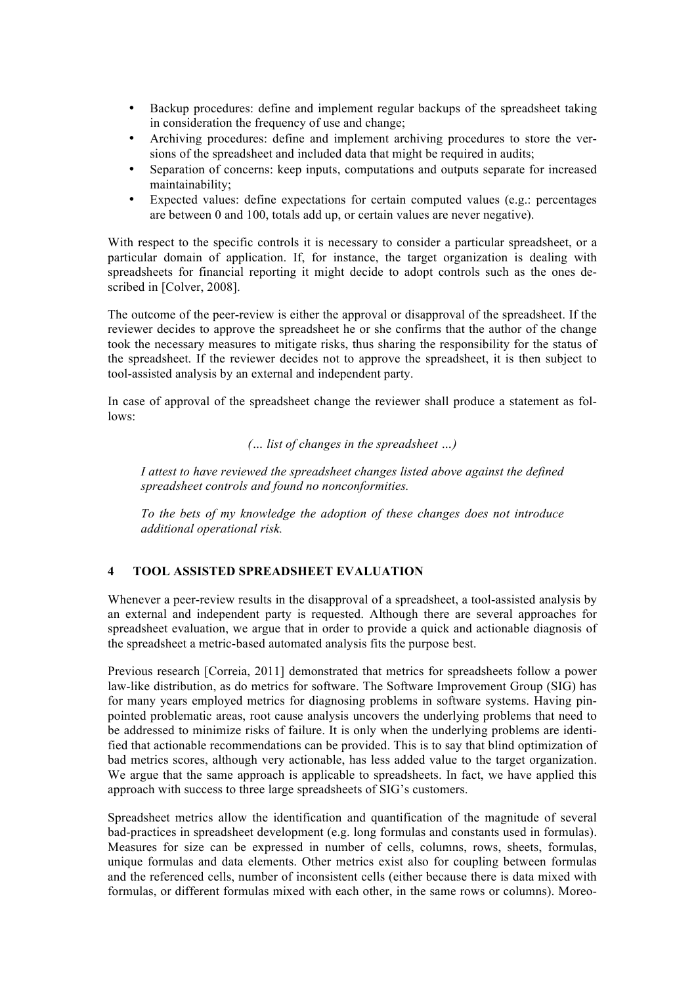- Backup procedures: define and implement regular backups of the spreadsheet taking in consideration the frequency of use and change;
- Archiving procedures: define and implement archiving procedures to store the versions of the spreadsheet and included data that might be required in audits;
- Separation of concerns: keep inputs, computations and outputs separate for increased maintainability;
- Expected values: define expectations for certain computed values (e.g.: percentages are between 0 and 100, totals add up, or certain values are never negative).

With respect to the specific controls it is necessary to consider a particular spreadsheet, or a particular domain of application. If, for instance, the target organization is dealing with spreadsheets for financial reporting it might decide to adopt controls such as the ones described in [Colver, 2008].

The outcome of the peer-review is either the approval or disapproval of the spreadsheet. If the reviewer decides to approve the spreadsheet he or she confirms that the author of the change took the necessary measures to mitigate risks, thus sharing the responsibility for the status of the spreadsheet. If the reviewer decides not to approve the spreadsheet, it is then subject to tool-assisted analysis by an external and independent party.

In case of approval of the spreadsheet change the reviewer shall produce a statement as follows:

*(… list of changes in the spreadsheet …)*

*I attest to have reviewed the spreadsheet changes listed above against the defined spreadsheet controls and found no nonconformities.*

*To the bets of my knowledge the adoption of these changes does not introduce additional operational risk.*

### **4 TOOL ASSISTED SPREADSHEET EVALUATION**

Whenever a peer-review results in the disapproval of a spreadsheet, a tool-assisted analysis by an external and independent party is requested. Although there are several approaches for spreadsheet evaluation, we argue that in order to provide a quick and actionable diagnosis of the spreadsheet a metric-based automated analysis fits the purpose best.

Previous research [Correia, 2011] demonstrated that metrics for spreadsheets follow a power law-like distribution, as do metrics for software. The Software Improvement Group (SIG) has for many years employed metrics for diagnosing problems in software systems. Having pinpointed problematic areas, root cause analysis uncovers the underlying problems that need to be addressed to minimize risks of failure. It is only when the underlying problems are identified that actionable recommendations can be provided. This is to say that blind optimization of bad metrics scores, although very actionable, has less added value to the target organization. We argue that the same approach is applicable to spreadsheets. In fact, we have applied this approach with success to three large spreadsheets of SIG's customers.

Spreadsheet metrics allow the identification and quantification of the magnitude of several bad-practices in spreadsheet development (e.g. long formulas and constants used in formulas). Measures for size can be expressed in number of cells, columns, rows, sheets, formulas, unique formulas and data elements. Other metrics exist also for coupling between formulas and the referenced cells, number of inconsistent cells (either because there is data mixed with formulas, or different formulas mixed with each other, in the same rows or columns). Moreo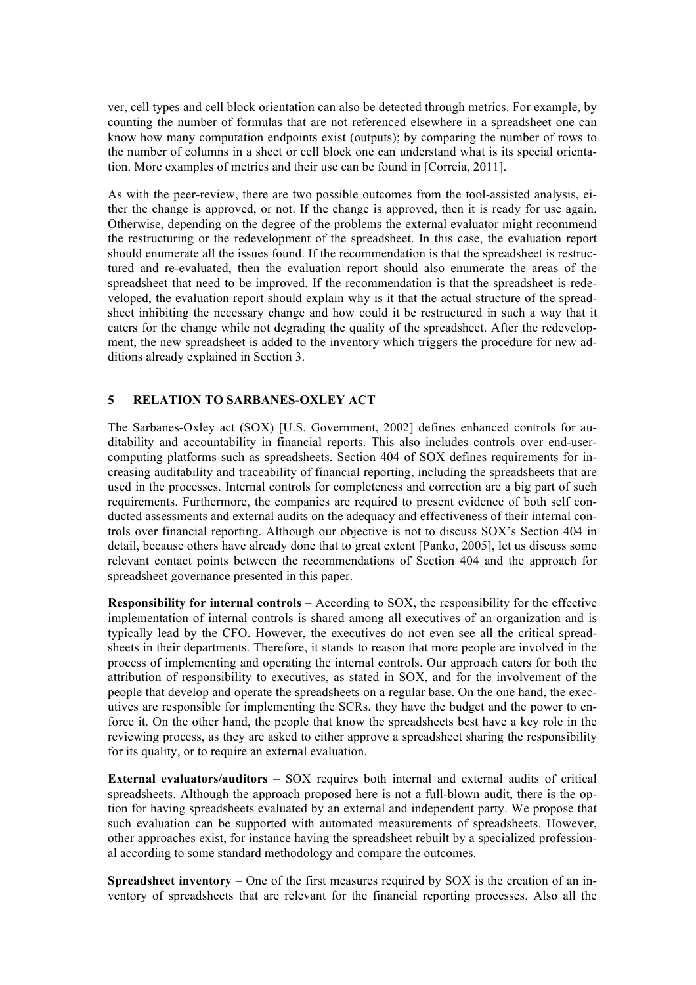ver, cell types and cell block orientation can also be detected through metrics. For example, by counting the number of formulas that are not referenced elsewhere in a spreadsheet one can know how many computation endpoints exist (outputs); by comparing the number of rows to the number of columns in a sheet or cell block one can understand what is its special orientation. More examples of metrics and their use can be found in [Correia, 2011].

As with the peer-review, there are two possible outcomes from the tool-assisted analysis, either the change is approved, or not. If the change is approved, then it is ready for use again. Otherwise, depending on the degree of the problems the external evaluator might recommend the restructuring or the redevelopment of the spreadsheet. In this case, the evaluation report should enumerate all the issues found. If the recommendation is that the spreadsheet is restructured and re-evaluated, then the evaluation report should also enumerate the areas of the spreadsheet that need to be improved. If the recommendation is that the spreadsheet is redeveloped, the evaluation report should explain why is it that the actual structure of the spreadsheet inhibiting the necessary change and how could it be restructured in such a way that it caters for the change while not degrading the quality of the spreadsheet. After the redevelopment, the new spreadsheet is added to the inventory which triggers the procedure for new additions already explained in Section 3.

#### **5 RELATION TO SARBANES-OXLEY ACT**

The Sarbanes-Oxley act (SOX) [U.S. Government, 2002] defines enhanced controls for auditability and accountability in financial reports. This also includes controls over end-usercomputing platforms such as spreadsheets. Section 404 of SOX defines requirements for increasing auditability and traceability of financial reporting, including the spreadsheets that are used in the processes. Internal controls for completeness and correction are a big part of such requirements. Furthermore, the companies are required to present evidence of both self conducted assessments and external audits on the adequacy and effectiveness of their internal controls over financial reporting. Although our objective is not to discuss SOX's Section 404 in detail, because others have already done that to great extent [Panko, 2005], let us discuss some relevant contact points between the recommendations of Section 404 and the approach for spreadsheet governance presented in this paper.

**Responsibility for internal controls** – According to SOX, the responsibility for the effective implementation of internal controls is shared among all executives of an organization and is typically lead by the CFO. However, the executives do not even see all the critical spreadsheets in their departments. Therefore, it stands to reason that more people are involved in the process of implementing and operating the internal controls. Our approach caters for both the attribution of responsibility to executives, as stated in SOX, and for the involvement of the people that develop and operate the spreadsheets on a regular base. On the one hand, the executives are responsible for implementing the SCRs, they have the budget and the power to enforce it. On the other hand, the people that know the spreadsheets best have a key role in the reviewing process, as they are asked to either approve a spreadsheet sharing the responsibility for its quality, or to require an external evaluation.

**External evaluators/auditors** – SOX requires both internal and external audits of critical spreadsheets. Although the approach proposed here is not a full-blown audit, there is the option for having spreadsheets evaluated by an external and independent party. We propose that such evaluation can be supported with automated measurements of spreadsheets. However, other approaches exist, for instance having the spreadsheet rebuilt by a specialized professional according to some standard methodology and compare the outcomes.

**Spreadsheet inventory** – One of the first measures required by SOX is the creation of an inventory of spreadsheets that are relevant for the financial reporting processes. Also all the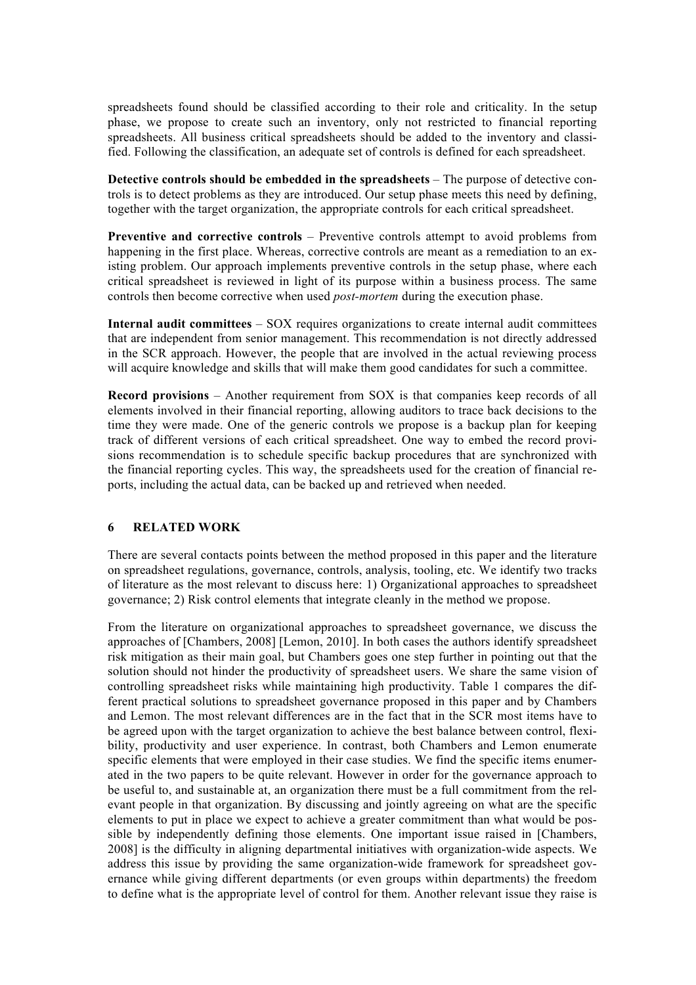spreadsheets found should be classified according to their role and criticality. In the setup phase, we propose to create such an inventory, only not restricted to financial reporting spreadsheets. All business critical spreadsheets should be added to the inventory and classified. Following the classification, an adequate set of controls is defined for each spreadsheet.

**Detective controls should be embedded in the spreadsheets** – The purpose of detective controls is to detect problems as they are introduced. Our setup phase meets this need by defining, together with the target organization, the appropriate controls for each critical spreadsheet.

**Preventive and corrective controls** – Preventive controls attempt to avoid problems from happening in the first place. Whereas, corrective controls are meant as a remediation to an existing problem. Our approach implements preventive controls in the setup phase, where each critical spreadsheet is reviewed in light of its purpose within a business process. The same controls then become corrective when used *post-mortem* during the execution phase.

**Internal audit committees** – SOX requires organizations to create internal audit committees that are independent from senior management. This recommendation is not directly addressed in the SCR approach. However, the people that are involved in the actual reviewing process will acquire knowledge and skills that will make them good candidates for such a committee.

**Record provisions** – Another requirement from SOX is that companies keep records of all elements involved in their financial reporting, allowing auditors to trace back decisions to the time they were made. One of the generic controls we propose is a backup plan for keeping track of different versions of each critical spreadsheet. One way to embed the record provisions recommendation is to schedule specific backup procedures that are synchronized with the financial reporting cycles. This way, the spreadsheets used for the creation of financial reports, including the actual data, can be backed up and retrieved when needed.

#### **6 RELATED WORK**

There are several contacts points between the method proposed in this paper and the literature on spreadsheet regulations, governance, controls, analysis, tooling, etc. We identify two tracks of literature as the most relevant to discuss here: 1) Organizational approaches to spreadsheet governance; 2) Risk control elements that integrate cleanly in the method we propose.

From the literature on organizational approaches to spreadsheet governance, we discuss the approaches of [Chambers, 2008] [Lemon, 2010]. In both cases the authors identify spreadsheet risk mitigation as their main goal, but Chambers goes one step further in pointing out that the solution should not hinder the productivity of spreadsheet users. We share the same vision of controlling spreadsheet risks while maintaining high productivity. Table 1 compares the different practical solutions to spreadsheet governance proposed in this paper and by Chambers and Lemon. The most relevant differences are in the fact that in the SCR most items have to be agreed upon with the target organization to achieve the best balance between control, flexibility, productivity and user experience. In contrast, both Chambers and Lemon enumerate specific elements that were employed in their case studies. We find the specific items enumerated in the two papers to be quite relevant. However in order for the governance approach to be useful to, and sustainable at, an organization there must be a full commitment from the relevant people in that organization. By discussing and jointly agreeing on what are the specific elements to put in place we expect to achieve a greater commitment than what would be possible by independently defining those elements. One important issue raised in [Chambers, 2008] is the difficulty in aligning departmental initiatives with organization-wide aspects. We address this issue by providing the same organization-wide framework for spreadsheet governance while giving different departments (or even groups within departments) the freedom to define what is the appropriate level of control for them. Another relevant issue they raise is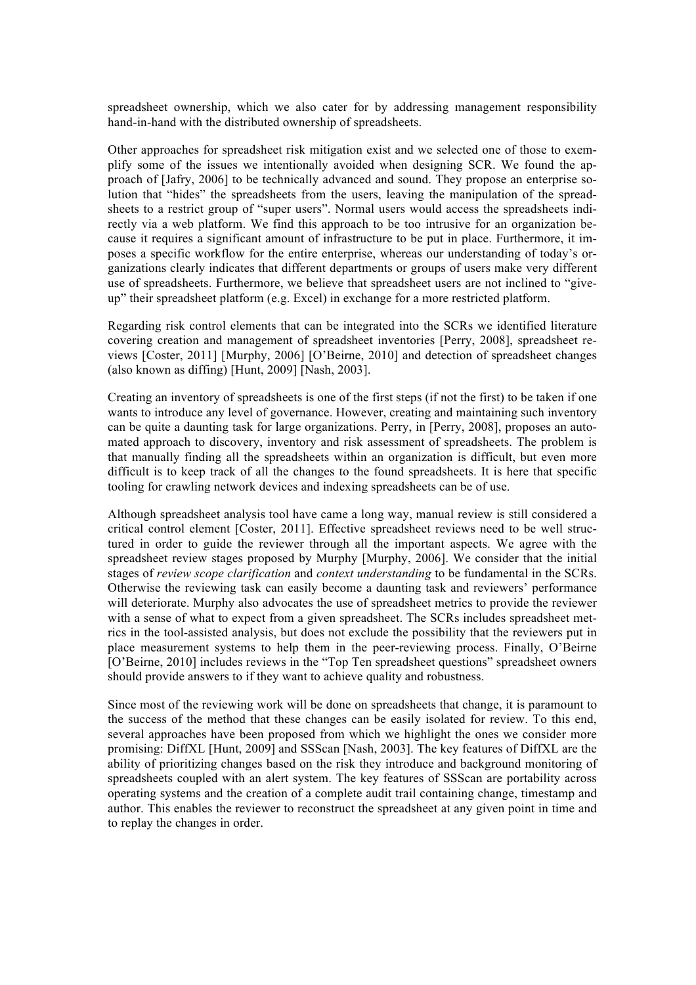spreadsheet ownership, which we also cater for by addressing management responsibility hand-in-hand with the distributed ownership of spreadsheets.

Other approaches for spreadsheet risk mitigation exist and we selected one of those to exemplify some of the issues we intentionally avoided when designing SCR. We found the approach of [Jafry, 2006] to be technically advanced and sound. They propose an enterprise solution that "hides" the spreadsheets from the users, leaving the manipulation of the spreadsheets to a restrict group of "super users". Normal users would access the spreadsheets indirectly via a web platform. We find this approach to be too intrusive for an organization because it requires a significant amount of infrastructure to be put in place. Furthermore, it imposes a specific workflow for the entire enterprise, whereas our understanding of today's organizations clearly indicates that different departments or groups of users make very different use of spreadsheets. Furthermore, we believe that spreadsheet users are not inclined to "giveup" their spreadsheet platform (e.g. Excel) in exchange for a more restricted platform.

Regarding risk control elements that can be integrated into the SCRs we identified literature covering creation and management of spreadsheet inventories [Perry, 2008], spreadsheet reviews [Coster, 2011] [Murphy, 2006] [O'Beirne, 2010] and detection of spreadsheet changes (also known as diffing) [Hunt, 2009] [Nash, 2003].

Creating an inventory of spreadsheets is one of the first steps (if not the first) to be taken if one wants to introduce any level of governance. However, creating and maintaining such inventory can be quite a daunting task for large organizations. Perry, in [Perry, 2008], proposes an automated approach to discovery, inventory and risk assessment of spreadsheets. The problem is that manually finding all the spreadsheets within an organization is difficult, but even more difficult is to keep track of all the changes to the found spreadsheets. It is here that specific tooling for crawling network devices and indexing spreadsheets can be of use.

Although spreadsheet analysis tool have came a long way, manual review is still considered a critical control element [Coster, 2011]. Effective spreadsheet reviews need to be well structured in order to guide the reviewer through all the important aspects. We agree with the spreadsheet review stages proposed by Murphy [Murphy, 2006]. We consider that the initial stages of *review scope clarification* and *context understanding* to be fundamental in the SCRs. Otherwise the reviewing task can easily become a daunting task and reviewers' performance will deteriorate. Murphy also advocates the use of spreadsheet metrics to provide the reviewer with a sense of what to expect from a given spreadsheet. The SCRs includes spreadsheet metrics in the tool-assisted analysis, but does not exclude the possibility that the reviewers put in place measurement systems to help them in the peer-reviewing process. Finally, O'Beirne [O'Beirne, 2010] includes reviews in the "Top Ten spreadsheet questions" spreadsheet owners should provide answers to if they want to achieve quality and robustness.

Since most of the reviewing work will be done on spreadsheets that change, it is paramount to the success of the method that these changes can be easily isolated for review. To this end, several approaches have been proposed from which we highlight the ones we consider more promising: DiffXL [Hunt, 2009] and SSScan [Nash, 2003]. The key features of DiffXL are the ability of prioritizing changes based on the risk they introduce and background monitoring of spreadsheets coupled with an alert system. The key features of SSScan are portability across operating systems and the creation of a complete audit trail containing change, timestamp and author. This enables the reviewer to reconstruct the spreadsheet at any given point in time and to replay the changes in order.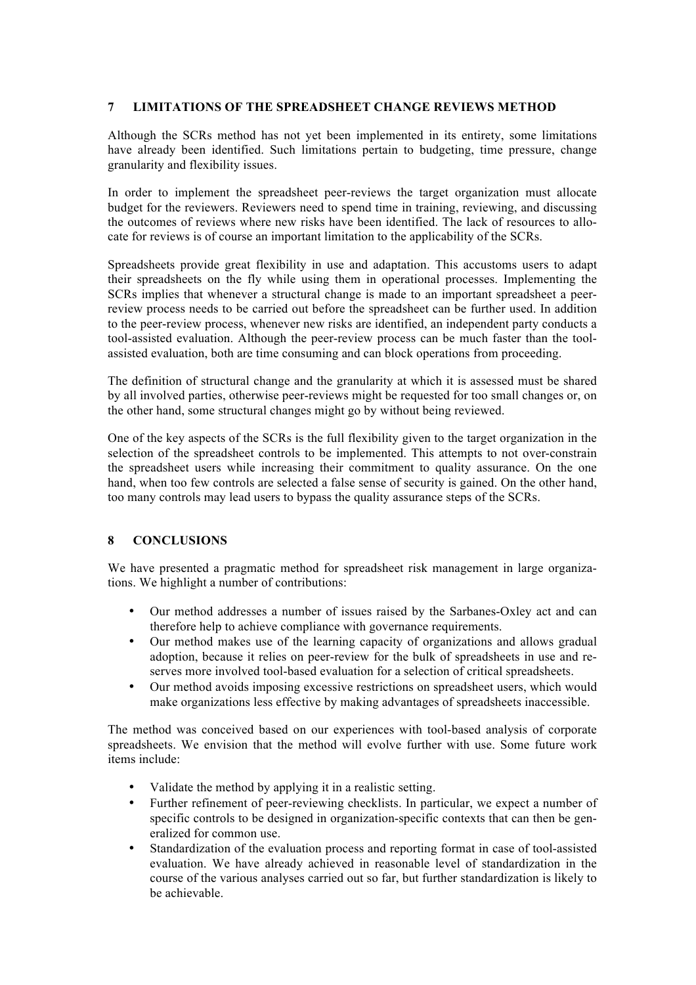## **7 LIMITATIONS OF THE SPREADSHEET CHANGE REVIEWS METHOD**

Although the SCRs method has not yet been implemented in its entirety, some limitations have already been identified. Such limitations pertain to budgeting, time pressure, change granularity and flexibility issues.

In order to implement the spreadsheet peer-reviews the target organization must allocate budget for the reviewers. Reviewers need to spend time in training, reviewing, and discussing the outcomes of reviews where new risks have been identified. The lack of resources to allocate for reviews is of course an important limitation to the applicability of the SCRs.

Spreadsheets provide great flexibility in use and adaptation. This accustoms users to adapt their spreadsheets on the fly while using them in operational processes. Implementing the SCRs implies that whenever a structural change is made to an important spreadsheet a peerreview process needs to be carried out before the spreadsheet can be further used. In addition to the peer-review process, whenever new risks are identified, an independent party conducts a tool-assisted evaluation. Although the peer-review process can be much faster than the toolassisted evaluation, both are time consuming and can block operations from proceeding.

The definition of structural change and the granularity at which it is assessed must be shared by all involved parties, otherwise peer-reviews might be requested for too small changes or, on the other hand, some structural changes might go by without being reviewed.

One of the key aspects of the SCRs is the full flexibility given to the target organization in the selection of the spreadsheet controls to be implemented. This attempts to not over-constrain the spreadsheet users while increasing their commitment to quality assurance. On the one hand, when too few controls are selected a false sense of security is gained. On the other hand, too many controls may lead users to bypass the quality assurance steps of the SCRs.

## **8 CONCLUSIONS**

We have presented a pragmatic method for spreadsheet risk management in large organizations. We highlight a number of contributions:

- Our method addresses a number of issues raised by the Sarbanes-Oxley act and can therefore help to achieve compliance with governance requirements.
- Our method makes use of the learning capacity of organizations and allows gradual adoption, because it relies on peer-review for the bulk of spreadsheets in use and reserves more involved tool-based evaluation for a selection of critical spreadsheets.
- Our method avoids imposing excessive restrictions on spreadsheet users, which would make organizations less effective by making advantages of spreadsheets inaccessible.

The method was conceived based on our experiences with tool-based analysis of corporate spreadsheets. We envision that the method will evolve further with use. Some future work items include:

- Validate the method by applying it in a realistic setting.
- Further refinement of peer-reviewing checklists. In particular, we expect a number of specific controls to be designed in organization-specific contexts that can then be generalized for common use.
- Standardization of the evaluation process and reporting format in case of tool-assisted evaluation. We have already achieved in reasonable level of standardization in the course of the various analyses carried out so far, but further standardization is likely to be achievable.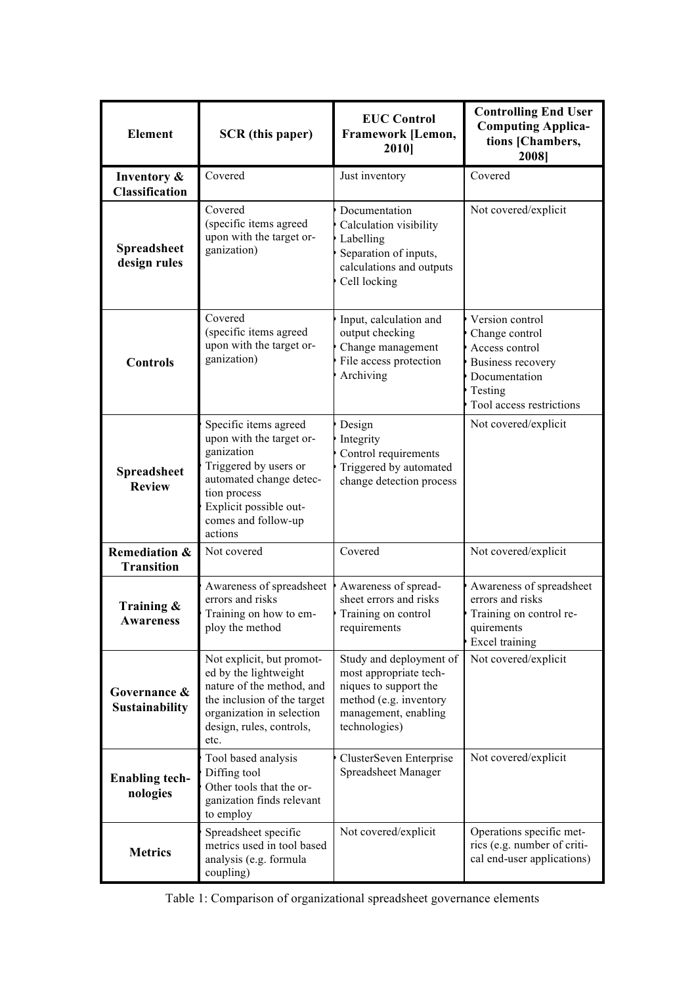| <b>Element</b>                                | <b>SCR</b> (this paper)                                                                                                                                                                         | <b>EUC Control</b><br>Framework [Lemon,<br>2010]                                                                                              | <b>Controlling End User</b><br><b>Computing Applica-</b><br>tions [Chambers,<br>2008]                                                   |  |
|-----------------------------------------------|-------------------------------------------------------------------------------------------------------------------------------------------------------------------------------------------------|-----------------------------------------------------------------------------------------------------------------------------------------------|-----------------------------------------------------------------------------------------------------------------------------------------|--|
| Inventory &<br><b>Classification</b>          | Covered                                                                                                                                                                                         | Just inventory                                                                                                                                | Covered                                                                                                                                 |  |
| Spreadsheet<br>design rules                   | Covered<br>(specific items agreed<br>upon with the target or-<br>ganization)                                                                                                                    | Documentation<br>Calculation visibility<br>Labelling<br>Separation of inputs,<br>calculations and outputs<br>Cell locking                     | Not covered/explicit                                                                                                                    |  |
| <b>Controls</b>                               | Covered<br>(specific items agreed<br>upon with the target or-<br>ganization)                                                                                                                    | Input, calculation and<br>output checking<br>Change management<br>File access protection<br>Archiving                                         | Version control<br>Change control<br>Access control<br><b>Business recovery</b><br>Documentation<br>Testing<br>Tool access restrictions |  |
| Spreadsheet<br><b>Review</b>                  | Specific items agreed<br>upon with the target or-<br>ganization<br>Triggered by users or<br>automated change detec-<br>tion process<br>Explicit possible out-<br>comes and follow-up<br>actions | Design<br>Integrity<br>Control requirements<br>Triggered by automated<br>change detection process                                             | Not covered/explicit                                                                                                                    |  |
| <b>Remediation &amp;</b><br><b>Transition</b> | Not covered                                                                                                                                                                                     | Covered                                                                                                                                       | Not covered/explicit                                                                                                                    |  |
| Training $\&$<br>Awareness                    | Awareness of spreadsheet<br>errors and risks<br>Training on how to em-<br>ploy the method                                                                                                       | Awareness of spread-<br>sheet errors and risks<br>Training on control<br>requirements                                                         | Awareness of spreadsheet<br>errors and risks<br>Training on control re-<br>quirements<br>Excel training                                 |  |
| Governance &<br><b>Sustainability</b>         | Not explicit, but promot-<br>ed by the lightweight<br>nature of the method, and<br>the inclusion of the target<br>organization in selection<br>design, rules, controls,<br>etc.                 | Study and deployment of<br>most appropriate tech-<br>niques to support the<br>method (e.g. inventory<br>management, enabling<br>technologies) | Not covered/explicit                                                                                                                    |  |
| <b>Enabling tech-</b><br>nologies             | Tool based analysis<br>Diffing tool<br>Other tools that the or-<br>ganization finds relevant<br>to employ                                                                                       | ClusterSeven Enterprise<br>Spreadsheet Manager                                                                                                | Not covered/explicit                                                                                                                    |  |
| <b>Metrics</b>                                | Spreadsheet specific<br>metrics used in tool based<br>analysis (e.g. formula<br>coupling)                                                                                                       | Not covered/explicit                                                                                                                          | Operations specific met-<br>rics (e.g. number of criti-<br>cal end-user applications)                                                   |  |

|  |  | Table 1: Comparison of organizational spreadsheet governance elements |  |  |  |
|--|--|-----------------------------------------------------------------------|--|--|--|
|--|--|-----------------------------------------------------------------------|--|--|--|